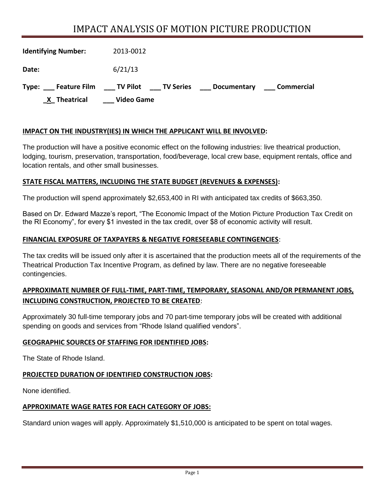# IMPACT ANALYSIS OF MOTION PICTURE PRODUCTION

| <b>Identifying Number:</b> | 2013-0012                                                           |
|----------------------------|---------------------------------------------------------------------|
| Date:                      | 6/21/13                                                             |
| Type:                      | Feature Film TV Pilot TV Series<br>Commercial<br><b>Documentary</b> |
| X Theatrical               | <b>Video Game</b>                                                   |

## **IMPACT ON THE INDUSTRY(IES) IN WHICH THE APPLICANT WILL BE INVOLVED:**

The production will have a positive economic effect on the following industries: live theatrical production, lodging, tourism, preservation, transportation, food/beverage, local crew base, equipment rentals, office and location rentals, and other small businesses.

## **STATE FISCAL MATTERS, INCLUDING THE STATE BUDGET (REVENUES & EXPENSES):**

The production will spend approximately \$2,653,400 in RI with anticipated tax credits of \$663,350.

Based on Dr. Edward Mazze's report, "The Economic Impact of the Motion Picture Production Tax Credit on the RI Economy", for every \$1 invested in the tax credit, over \$8 of economic activity will result.

#### **FINANCIAL EXPOSURE OF TAXPAYERS & NEGATIVE FORESEEABLE CONTINGENCIES**:

The tax credits will be issued only after it is ascertained that the production meets all of the requirements of the Theatrical Production Tax Incentive Program, as defined by law. There are no negative foreseeable contingencies.

# **APPROXIMATE NUMBER OF FULL-TIME, PART-TIME, TEMPORARY, SEASONAL AND/OR PERMANENT JOBS, INCLUDING CONSTRUCTION, PROJECTED TO BE CREATED**:

Approximately 30 full-time temporary jobs and 70 part-time temporary jobs will be created with additional spending on goods and services from "Rhode Island qualified vendors".

#### **GEOGRAPHIC SOURCES OF STAFFING FOR IDENTIFIED JOBS:**

The State of Rhode Island.

# **PROJECTED DURATION OF IDENTIFIED CONSTRUCTION JOBS:**

None identified.

# **APPROXIMATE WAGE RATES FOR EACH CATEGORY OF JOBS:**

Standard union wages will apply. Approximately \$1,510,000 is anticipated to be spent on total wages.